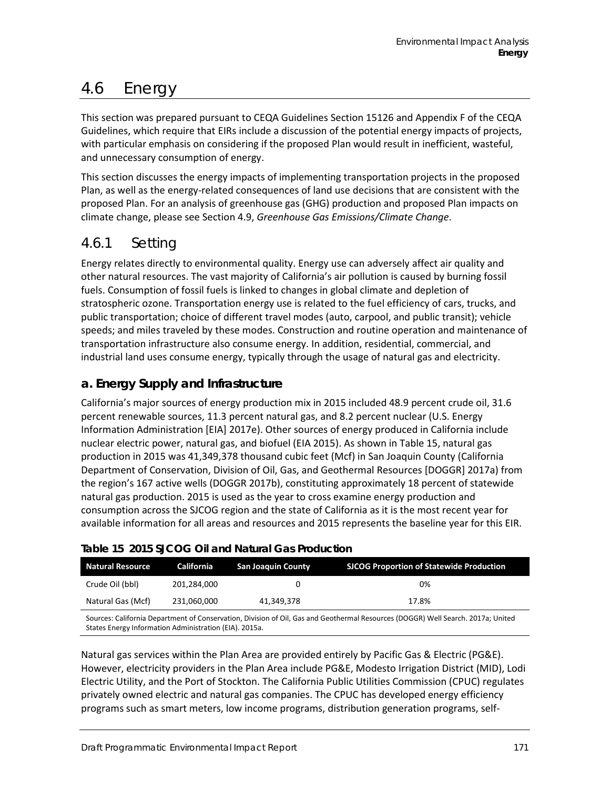# 4.6 Energy

This section was prepared pursuant to CEQA Guidelines Section 15126 and Appendix F of the CEQA Guidelines, which require that EIRs include a discussion of the potential energy impacts of projects, with particular emphasis on considering if the proposed Plan would result in inefficient, wasteful, and unnecessary consumption of energy.

This section discusses the energy impacts of implementing transportation projects in the proposed Plan, as well as the energy-related consequences of land use decisions that are consistent with the proposed Plan. For an analysis of greenhouse gas (GHG) production and proposed Plan impacts on climate change, please see Section 4.9, *Greenhouse Gas Emissions/Climate Change*.

# 4.6.1 Setting

Energy relates directly to environmental quality. Energy use can adversely affect air quality and other natural resources. The vast majority of California's air pollution is caused by burning fossil fuels. Consumption of fossil fuels is linked to changes in global climate and depletion of stratospheric ozone. Transportation energy use is related to the fuel efficiency of cars, trucks, and public transportation; choice of different travel modes (auto, carpool, and public transit); vehicle speeds; and miles traveled by these modes. Construction and routine operation and maintenance of transportation infrastructure also consume energy. In addition, residential, commercial, and industrial land uses consume energy, typically through the usage of natural gas and electricity.

# **a. Energy Supply and Infrastructure**

California's major sources of energy production mix in 2015 included 48.9 percent crude oil, 31.6 percent renewable sources, 11.3 percent natural gas, and 8.2 percent nuclear (U.S. Energy Information Administration [EIA] 2017e). Other sources of energy produced in California include nuclear electric power, natural gas, and biofuel (EIA 2015). As shown in [Table 15,](#page-0-0) natural gas production in 2015 was 41,349,378 thousand cubic feet (Mcf) in San Joaquin County (California Department of Conservation, Division of Oil, Gas, and Geothermal Resources [DOGGR] 2017a) from the region's 167 active wells (DOGGR 2017b), constituting approximately 18 percent of statewide natural gas production. 2015 is used as the year to cross examine energy production and consumption across the SJCOG region and the state of California as it is the most recent year for available information for all areas and resources and 2015 represents the baseline year for this EIR.

| <b>Natural Resource</b> | California  | <b>San Joaquin County</b> | <b>SJCOG Proportion of Statewide Production</b> |
|-------------------------|-------------|---------------------------|-------------------------------------------------|
| Crude Oil (bbl)         | 201.284.000 |                           | 0%                                              |
| Natural Gas (Mcf)       | 231,060,000 | 41.349.378                | 17.8%                                           |

## <span id="page-0-0"></span>**Table 15 2015 SJCOG Oil and Natural Gas Production**

Sources: California Department of Conservation, Division of Oil, Gas and Geothermal Resources (DOGGR) Well Search. 2017a; United States Energy Information Administration (EIA). 2015a.

Natural gas services within the Plan Area are provided entirely by Pacific Gas & Electric (PG&E). However, electricity providers in the Plan Area include PG&E, Modesto Irrigation District (MID), Lodi Electric Utility, and the Port of Stockton. The California Public Utilities Commission (CPUC) regulates privately owned electric and natural gas companies. The CPUC has developed energy efficiency programs such as smart meters, low income programs, distribution generation programs, self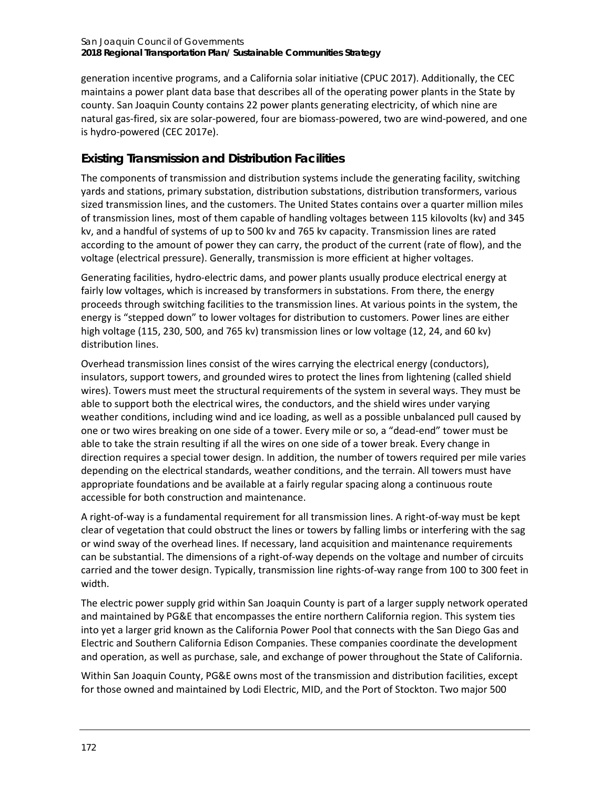generation incentive programs, and a California solar initiative (CPUC 2017). Additionally, the CEC maintains a power plant data base that describes all of the operating power plants in the State by county. San Joaquin County contains 22 power plants generating electricity, of which nine are natural gas-fired, six are solar-powered, four are biomass-powered, two are wind-powered, and one is hydro-powered (CEC 2017e).

# **Existing Transmission and Distribution Facilities**

The components of transmission and distribution systems include the generating facility, switching yards and stations, primary substation, distribution substations, distribution transformers, various sized transmission lines, and the customers. The United States contains over a quarter million miles of transmission lines, most of them capable of handling voltages between 115 kilovolts (kv) and 345 kv, and a handful of systems of up to 500 kv and 765 kv capacity. Transmission lines are rated according to the amount of power they can carry, the product of the current (rate of flow), and the voltage (electrical pressure). Generally, transmission is more efficient at higher voltages.

Generating facilities, hydro-electric dams, and power plants usually produce electrical energy at fairly low voltages, which is increased by transformers in substations. From there, the energy proceeds through switching facilities to the transmission lines. At various points in the system, the energy is "stepped down" to lower voltages for distribution to customers. Power lines are either high voltage (115, 230, 500, and 765 kv) transmission lines or low voltage (12, 24, and 60 kv) distribution lines.

Overhead transmission lines consist of the wires carrying the electrical energy (conductors), insulators, support towers, and grounded wires to protect the lines from lightening (called shield wires). Towers must meet the structural requirements of the system in several ways. They must be able to support both the electrical wires, the conductors, and the shield wires under varying weather conditions, including wind and ice loading, as well as a possible unbalanced pull caused by one or two wires breaking on one side of a tower. Every mile or so, a "dead-end" tower must be able to take the strain resulting if all the wires on one side of a tower break. Every change in direction requires a special tower design. In addition, the number of towers required per mile varies depending on the electrical standards, weather conditions, and the terrain. All towers must have appropriate foundations and be available at a fairly regular spacing along a continuous route accessible for both construction and maintenance.

A right-of-way is a fundamental requirement for all transmission lines. A right-of-way must be kept clear of vegetation that could obstruct the lines or towers by falling limbs or interfering with the sag or wind sway of the overhead lines. If necessary, land acquisition and maintenance requirements can be substantial. The dimensions of a right-of-way depends on the voltage and number of circuits carried and the tower design. Typically, transmission line rights-of-way range from 100 to 300 feet in width.

The electric power supply grid within San Joaquin County is part of a larger supply network operated and maintained by PG&E that encompasses the entire northern California region. This system ties into yet a larger grid known as the California Power Pool that connects with the San Diego Gas and Electric and Southern California Edison Companies. These companies coordinate the development and operation, as well as purchase, sale, and exchange of power throughout the State of California.

Within San Joaquin County, PG&E owns most of the transmission and distribution facilities, except for those owned and maintained by Lodi Electric, MID, and the Port of Stockton. Two major 500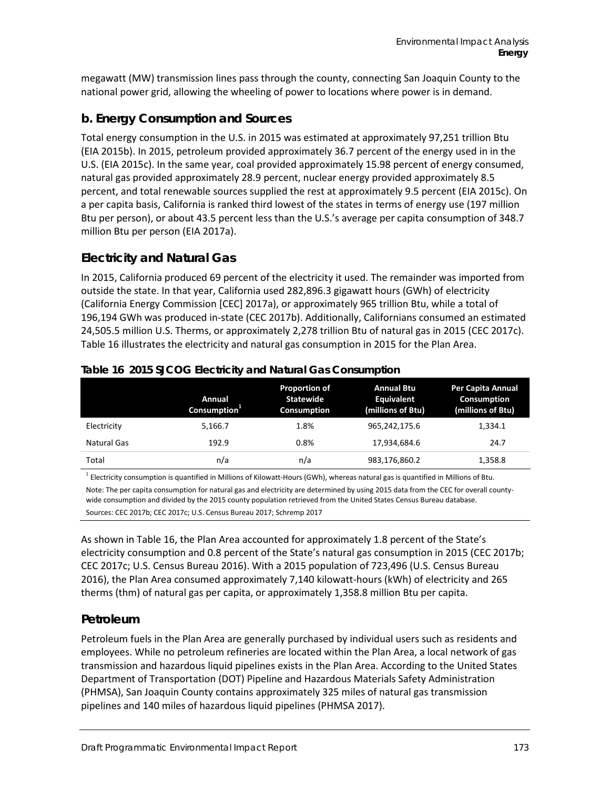megawatt (MW) transmission lines pass through the county, connecting San Joaquin County to the national power grid, allowing the wheeling of power to locations where power is in demand.

# **b. Energy Consumption and Sources**

Total energy consumption in the U.S. in 2015 was estimated at approximately 97,251 trillion Btu (EIA 2015b). In 2015, petroleum provided approximately 36.7 percent of the energy used in in the U.S. (EIA 2015c). In the same year, coal provided approximately 15.98 percent of energy consumed, natural gas provided approximately 28.9 percent, nuclear energy provided approximately 8.5 percent, and total renewable sources supplied the rest at approximately 9.5 percent (EIA 2015c). On a per capita basis, California is ranked third lowest of the states in terms of energy use (197 million Btu per person), or about 43.5 percent less than the U.S.'s average per capita consumption of 348.7 million Btu per person (EIA 2017a).

# **Electricity and Natural Gas**

In 2015, California produced 69 percent of the electricity it used. The remainder was imported from outside the state. In that year, California used 282,896.3 gigawatt hours (GWh) of electricity (California Energy Commission [CEC] 2017a), or approximately 965 trillion Btu, while a total of 196,194 GWh was produced in-state (CEC 2017b). Additionally, Californians consumed an estimated 24,505.5 million U.S. Therms, or approximately 2,278 trillion Btu of natural gas in 2015 (CEC 2017c). [Table 16](#page-2-0) illustrates the electricity and natural gas consumption in 2015 for the Plan Area.

|             | Annual<br>Consumption <sup>1</sup> | <b>Proportion of</b><br><b>Statewide</b><br><b>Consumption</b> | <b>Annual Btu</b><br>Equivalent<br>(millions of Btu) | Per Capita Annual<br>Consumption<br>(millions of Btu) |
|-------------|------------------------------------|----------------------------------------------------------------|------------------------------------------------------|-------------------------------------------------------|
| Electricity | 5,166.7                            | 1.8%                                                           | 965.242.175.6                                        | 1,334.1                                               |
| Natural Gas | 192.9                              | 0.8%                                                           | 17,934,684.6                                         | 24.7                                                  |
| Total       | n/a                                | n/a                                                            | 983,176,860.2                                        | 1,358.8                                               |

#### <span id="page-2-0"></span>**Table 16 2015 SJCOG Electricity and Natural Gas Consumption**

<sup>1</sup> Electricity consumption is quantified in Millions of Kilowatt-Hours (GWh), whereas natural gas is quantified in Millions of Btu. Note: The per capita consumption for natural gas and electricity are determined by using 2015 data from the CEC for overall countywide consumption and divided by the 2015 county population retrieved from the United States Census Bureau database. Sources: CEC 2017b; CEC 2017c; U.S. Census Bureau 2017; Schremp 2017

As shown in [Table 16,](#page-2-0) the Plan Area accounted for approximately 1.8 percent of the State's electricity consumption and 0.8 percent of the State's natural gas consumption in 2015 (CEC 2017b; CEC 2017c; U.S. Census Bureau 2016). With a 2015 population of 723,496 (U.S. Census Bureau 2016), the Plan Area consumed approximately 7,140 kilowatt-hours (kWh) of electricity and 265 therms (thm) of natural gas per capita, or approximately 1,358.8 million Btu per capita.

# **Petroleum**

Petroleum fuels in the Plan Area are generally purchased by individual users such as residents and employees. While no petroleum refineries are located within the Plan Area, a local network of gas transmission and hazardous liquid pipelines exists in the Plan Area. According to the United States Department of Transportation (DOT) Pipeline and Hazardous Materials Safety Administration (PHMSA), San Joaquin County contains approximately 325 miles of natural gas transmission pipelines and 140 miles of hazardous liquid pipelines (PHMSA 2017).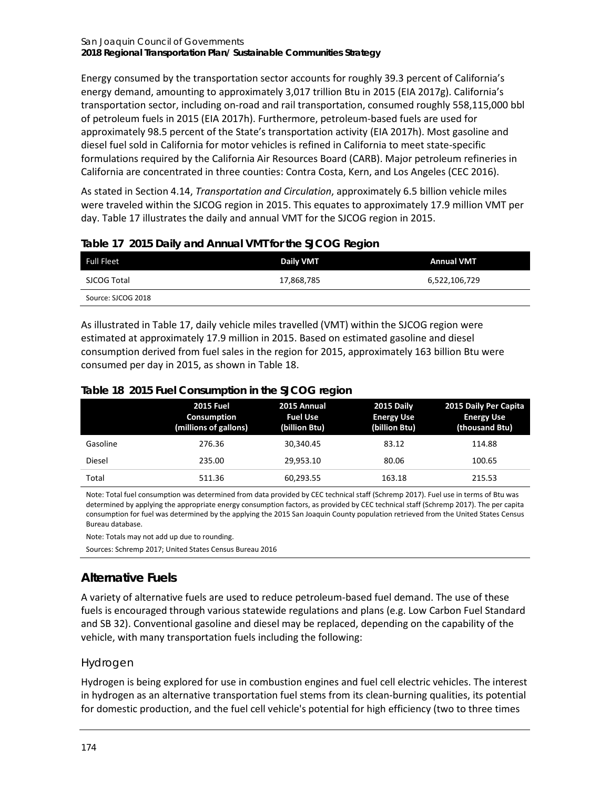Energy consumed by the transportation sector accounts for roughly 39.3 percent of California's energy demand, amounting to approximately 3,017 trillion Btu in 2015 (EIA 2017g). California's transportation sector, including on-road and rail transportation, consumed roughly 558,115,000 bbl of petroleum fuels in 2015 (EIA 2017h). Furthermore, petroleum-based fuels are used for approximately 98.5 percent of the State's transportation activity (EIA 2017h). Most gasoline and diesel fuel sold in California for motor vehicles is refined in California to meet state-specific formulations required by the California Air Resources Board (CARB). Major petroleum refineries in California are concentrated in three counties: Contra Costa, Kern, and Los Angeles (CEC 2016).

As stated in Section 4.14, *Transportation and Circulation*, approximately 6.5 billion vehicle miles were traveled within the SJCOG region in 2015. This equates to approximately 17.9 million VMT per day[. Table 17](#page-3-0) illustrates the daily and annual VMT for the SJCOG region in 2015.

| <b>Full Fleet</b>  | Daily VMT  | <b>Annual VMT</b> |
|--------------------|------------|-------------------|
| SJCOG Total        | 17,868,785 | 6,522,106,729     |
| Source: SJCOG 2018 |            |                   |

## <span id="page-3-0"></span>**Table 17 2015 Daily and Annual VMT for the SJCOG Region**

As illustrated in [Table 17,](#page-3-0) daily vehicle miles travelled (VMT) within the SJCOG region were estimated at approximately 17.9 million in 2015. Based on estimated gasoline and diesel consumption derived from fuel sales in the region for 2015, approximately 163 billion Btu were consumed per day in 2015, as shown in [Table 18.](#page-3-1)

<span id="page-3-1"></span>

|  |  |  |  | Table 18 2015 Fuel Consumption in the SJCOG region |
|--|--|--|--|----------------------------------------------------|
|--|--|--|--|----------------------------------------------------|

|          | <b>2015 Fuel</b><br><b>Consumption</b><br>(millions of gallons) | 2015 Annual<br><b>Fuel Use</b><br>(billion Btu) | 2015 Daily<br><b>Energy Use</b><br>(billion Btu) | 2015 Daily Per Capita<br><b>Energy Use</b><br>(thousand Btu) |
|----------|-----------------------------------------------------------------|-------------------------------------------------|--------------------------------------------------|--------------------------------------------------------------|
| Gasoline | 276.36                                                          | 30,340.45                                       | 83.12                                            | 114.88                                                       |
| Diesel   | 235.00                                                          | 29.953.10                                       | 80.06                                            | 100.65                                                       |
| Total    | 511.36                                                          | 60,293.55                                       | 163.18                                           | 215.53                                                       |

Note: Total fuel consumption was determined from data provided by CEC technical staff (Schremp 2017). Fuel use in terms of Btu was determined by applying the appropriate energy consumption factors, as provided by CEC technical staff (Schremp 2017). The per capita consumption for fuel was determined by the applying the 2015 San Joaquin County population retrieved from the United States Census Bureau database.

Note: Totals may not add up due to rounding.

Sources: Schremp 2017; United States Census Bureau 2016

# **Alternative Fuels**

A variety of alternative fuels are used to reduce petroleum-based fuel demand. The use of these fuels is encouraged through various statewide regulations and plans (e.g. Low Carbon Fuel Standard and SB 32). Conventional gasoline and diesel may be replaced, depending on the capability of the vehicle, with many transportation fuels including the following:

#### *Hydrogen*

Hydrogen is being explored for use in combustion engines and fuel cell electric vehicles. The interest in hydrogen as an alternative transportation fuel stems from its clean-burning qualities, its potential for domestic production, and the fuel cell vehicle's potential for high efficiency (two to three times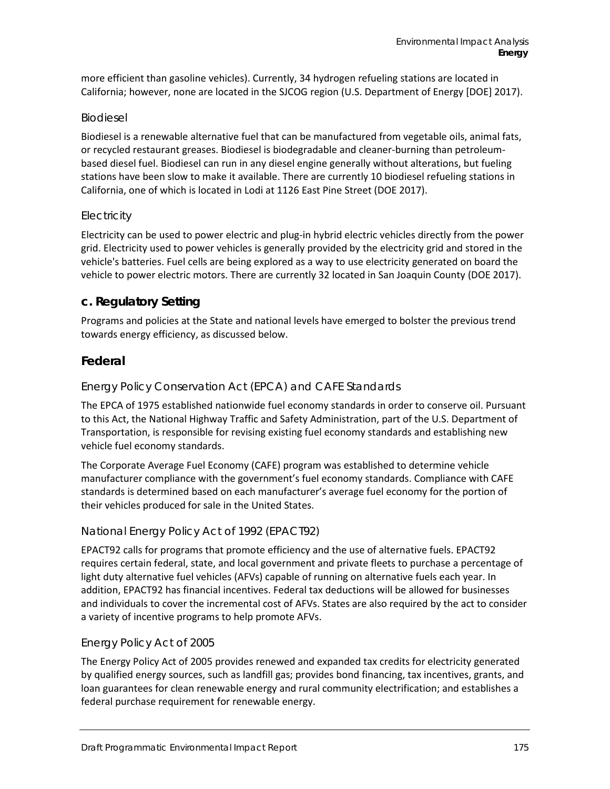more efficient than gasoline vehicles). Currently, 34 hydrogen refueling stations are located in California; however, none are located in the SJCOG region (U.S. Department of Energy [DOE] 2017).

#### *Biodiesel*

Biodiesel is a renewable alternative fuel that can be manufactured from vegetable oils, animal fats, or recycled restaurant greases. Biodiesel is biodegradable and cleaner-burning than petroleumbased diesel fuel. Biodiesel can run in any diesel engine generally without alterations, but fueling stations have been slow to make it available. There are currently 10 biodiesel refueling stations in California, one of which is located in Lodi at 1126 East Pine Street (DOE 2017).

#### *Electricity*

Electricity can be used to power electric and plug-in hybrid electric vehicles directly from the power grid. Electricity used to power vehicles is generally provided by the electricity grid and stored in the vehicle's batteries. Fuel cells are being explored as a way to use electricity generated on board the vehicle to power electric motors. There are currently 32 located in San Joaquin County (DOE 2017).

## **c. Regulatory Setting**

Programs and policies at the State and national levels have emerged to bolster the previous trend towards energy efficiency, as discussed below.

## **Federal**

#### *Energy Policy Conservation Act (EPCA) and CAFE Standards*

The EPCA of 1975 established nationwide fuel economy standards in order to conserve oil. Pursuant to this Act, the National Highway Traffic and Safety Administration, part of the U.S. Department of Transportation, is responsible for revising existing fuel economy standards and establishing new vehicle fuel economy standards.

The Corporate Average Fuel Economy (CAFE) program was established to determine vehicle manufacturer compliance with the government's fuel economy standards. Compliance with CAFE standards is determined based on each manufacturer's average fuel economy for the portion of their vehicles produced for sale in the United States.

#### *National Energy Policy Act of 1992 (EPACT92)*

EPACT92 calls for programs that promote efficiency and the use of alternative fuels. EPACT92 requires certain federal, state, and local government and private fleets to purchase a percentage of light duty alternative fuel vehicles (AFVs) capable of running on alternative fuels each year. In addition, EPACT92 has financial incentives. Federal tax deductions will be allowed for businesses and individuals to cover the incremental cost of AFVs. States are also required by the act to consider a variety of incentive programs to help promote AFVs.

#### *Energy Policy Act of 2005*

The Energy Policy Act of 2005 provides renewed and expanded tax credits for electricity generated by qualified energy sources, such as landfill gas; provides bond financing, tax incentives, grants, and loan guarantees for clean renewable energy and rural community electrification; and establishes a federal purchase requirement for renewable energy.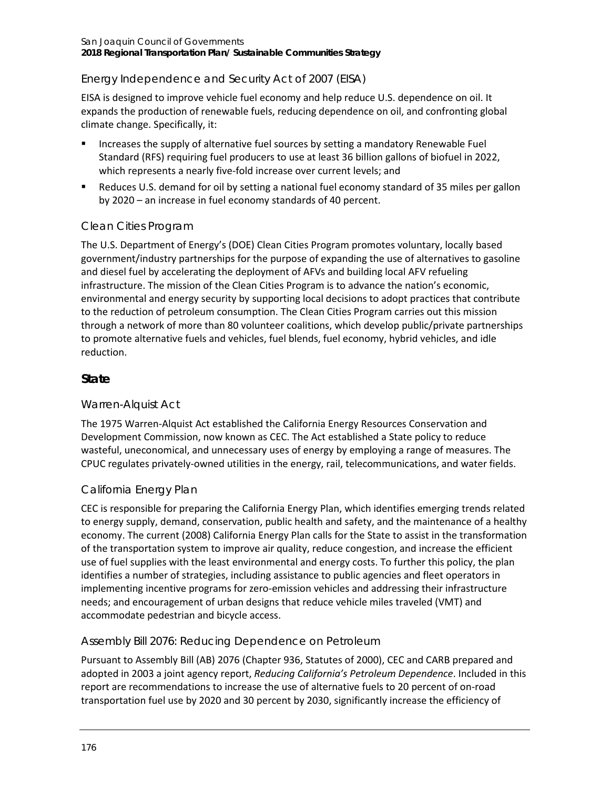## *Energy Independence and Security Act of 2007 (EISA)*

EISA is designed to improve vehicle fuel economy and help reduce U.S. dependence on oil. It expands the production of renewable fuels, reducing dependence on oil, and confronting global climate change. Specifically, it:

- Increases the supply of alternative fuel sources by setting a mandatory Renewable Fuel Standard (RFS) requiring fuel producers to use at least 36 billion gallons of biofuel in 2022, which represents a nearly five-fold increase over current levels; and
- Reduces U.S. demand for oil by setting a national fuel economy standard of 35 miles per gallon by 2020 – an increase in fuel economy standards of 40 percent.

## *Clean Cities Program*

The U.S. Department of Energy's (DOE) Clean Cities Program promotes voluntary, locally based government/industry partnerships for the purpose of expanding the use of alternatives to gasoline and diesel fuel by accelerating the deployment of AFVs and building local AFV refueling infrastructure. The mission of the Clean Cities Program is to advance the nation's economic, environmental and energy security by supporting local decisions to adopt practices that contribute to the reduction of petroleum consumption. The Clean Cities Program carries out this mission through a network of more than 80 volunteer coalitions, which develop public/private partnerships to promote alternative fuels and vehicles, fuel blends, fuel economy, hybrid vehicles, and idle reduction.

## **State**

## *Warren-Alquist Act*

The 1975 Warren-Alquist Act established the California Energy Resources Conservation and Development Commission, now known as CEC. The Act established a State policy to reduce wasteful, uneconomical, and unnecessary uses of energy by employing a range of measures. The CPUC regulates privately-owned utilities in the energy, rail, telecommunications, and water fields.

## *California Energy Plan*

CEC is responsible for preparing the California Energy Plan, which identifies emerging trends related to energy supply, demand, conservation, public health and safety, and the maintenance of a healthy economy. The current (2008) California Energy Plan calls for the State to assist in the transformation of the transportation system to improve air quality, reduce congestion, and increase the efficient use of fuel supplies with the least environmental and energy costs. To further this policy, the plan identifies a number of strategies, including assistance to public agencies and fleet operators in implementing incentive programs for zero-emission vehicles and addressing their infrastructure needs; and encouragement of urban designs that reduce vehicle miles traveled (VMT) and accommodate pedestrian and bicycle access.

## *Assembly Bill 2076: Reducing Dependence on Petroleum*

Pursuant to Assembly Bill (AB) 2076 (Chapter 936, Statutes of 2000), CEC and CARB prepared and adopted in 2003 a joint agency report, *Reducing California's Petroleum Dependence*. Included in this report are recommendations to increase the use of alternative fuels to 20 percent of on-road transportation fuel use by 2020 and 30 percent by 2030, significantly increase the efficiency of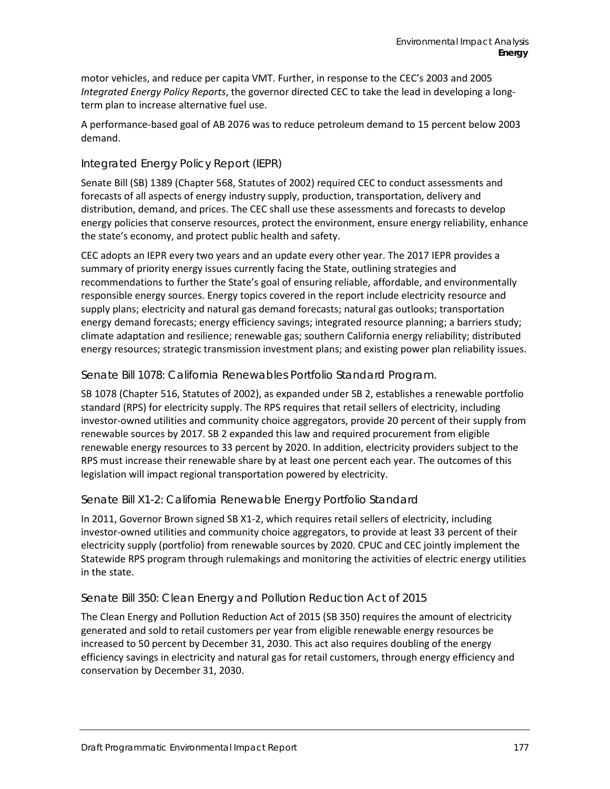motor vehicles, and reduce per capita VMT. Further, in response to the CEC's 2003 and 2005 *Integrated Energy Policy Reports*, the governor directed CEC to take the lead in developing a longterm plan to increase alternative fuel use.

A performance-based goal of AB 2076 was to reduce petroleum demand to 15 percent below 2003 demand.

#### *Integrated Energy Policy Report (IEPR)*

Senate Bill (SB) 1389 (Chapter 568, Statutes of 2002) required CEC to conduct assessments and forecasts of all aspects of energy industry supply, production, transportation, delivery and distribution, demand, and prices. The CEC shall use these assessments and forecasts to develop energy policies that conserve resources, protect the environment, ensure energy reliability, enhance the state's economy, and protect public health and safety.

CEC adopts an IEPR every two years and an update every other year. The 2017 IEPR provides a summary of priority energy issues currently facing the State, outlining strategies and recommendations to further the State's goal of ensuring reliable, affordable, and environmentally responsible energy sources. Energy topics covered in the report include electricity resource and supply plans; electricity and natural gas demand forecasts; natural gas outlooks; transportation energy demand forecasts; energy efficiency savings; integrated resource planning; a barriers study; climate adaptation and resilience; renewable gas; southern California energy reliability; distributed energy resources; strategic transmission investment plans; and existing power plan reliability issues.

#### *Senate Bill 1078: California Renewables Portfolio Standard Program.*

SB 1078 (Chapter 516, Statutes of 2002), as expanded under SB 2, establishes a renewable portfolio standard (RPS) for electricity supply. The RPS requires that retail sellers of electricity, including investor-owned utilities and community choice aggregators, provide 20 percent of their supply from renewable sources by 2017. SB 2 expanded this law and required procurement from eligible renewable energy resources to 33 percent by 2020. In addition, electricity providers subject to the RPS must increase their renewable share by at least one percent each year. The outcomes of this legislation will impact regional transportation powered by electricity.

#### *Senate Bill X1-2: California Renewable Energy Portfolio Standard*

In 2011, Governor Brown signed SB X1-2, which requires retail sellers of electricity, including investor-owned utilities and community choice aggregators, to provide at least 33 percent of their electricity supply (portfolio) from renewable sources by 2020. CPUC and CEC jointly implement the Statewide RPS program through rulemakings and monitoring the activities of electric energy utilities in the state.

#### *Senate Bill 350: Clean Energy and Pollution Reduction Act of 2015*

The Clean Energy and Pollution Reduction Act of 2015 (SB 350) requires the amount of electricity generated and sold to retail customers per year from eligible renewable energy resources be increased to 50 percent by December 31, 2030. This act also requires doubling of the energy efficiency savings in electricity and natural gas for retail customers, through energy efficiency and conservation by December 31, 2030.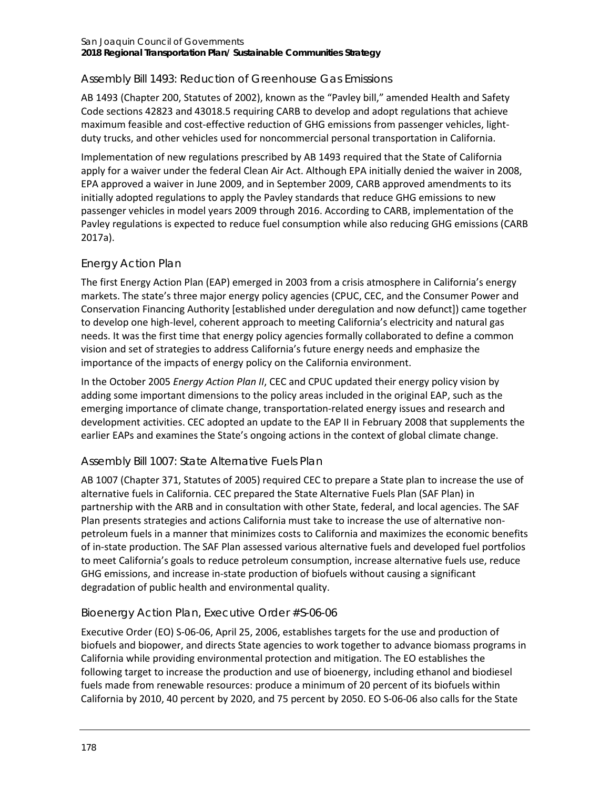## *Assembly Bill 1493: Reduction of Greenhouse Gas Emissions*

AB 1493 (Chapter 200, Statutes of 2002), known as the "Pavley bill," amended Health and Safety Code sections 42823 and 43018.5 requiring CARB to develop and adopt regulations that achieve maximum feasible and cost-effective reduction of GHG emissions from passenger vehicles, lightduty trucks, and other vehicles used for noncommercial personal transportation in California.

Implementation of new regulations prescribed by AB 1493 required that the State of California apply for a waiver under the federal Clean Air Act. Although EPA initially denied the waiver in 2008, EPA approved a waiver in June 2009, and in September 2009, CARB approved amendments to its initially adopted regulations to apply the Pavley standards that reduce GHG emissions to new passenger vehicles in model years 2009 through 2016. According to CARB, implementation of the Pavley regulations is expected to reduce fuel consumption while also reducing GHG emissions (CARB 2017a).

## *Energy Action Plan*

The first Energy Action Plan (EAP) emerged in 2003 from a crisis atmosphere in California's energy markets. The state's three major energy policy agencies (CPUC, CEC, and the Consumer Power and Conservation Financing Authority [established under deregulation and now defunct]) came together to develop one high-level, coherent approach to meeting California's electricity and natural gas needs. It was the first time that energy policy agencies formally collaborated to define a common vision and set of strategies to address California's future energy needs and emphasize the importance of the impacts of energy policy on the California environment.

In the October 2005 *Energy Action Plan II*, CEC and CPUC updated their energy policy vision by adding some important dimensions to the policy areas included in the original EAP, such as the emerging importance of climate change, transportation-related energy issues and research and development activities. CEC adopted an update to the EAP II in February 2008 that supplements the earlier EAPs and examines the State's ongoing actions in the context of global climate change.

## *Assembly Bill 1007: State Alternative Fuels Plan*

AB 1007 (Chapter 371, Statutes of 2005) required CEC to prepare a State plan to increase the use of alternative fuels in California. CEC prepared the State Alternative Fuels Plan (SAF Plan) in partnership with the ARB and in consultation with other State, federal, and local agencies. The SAF Plan presents strategies and actions California must take to increase the use of alternative nonpetroleum fuels in a manner that minimizes costs to California and maximizes the economic benefits of in-state production. The SAF Plan assessed various alternative fuels and developed fuel portfolios to meet California's goals to reduce petroleum consumption, increase alternative fuels use, reduce GHG emissions, and increase in-state production of biofuels without causing a significant degradation of public health and environmental quality.

## *Bioenergy Action Plan, Executive Order #S-06-06*

Executive Order (EO) S-06-06, April 25, 2006, establishes targets for the use and production of biofuels and biopower, and directs State agencies to work together to advance biomass programs in California while providing environmental protection and mitigation. The EO establishes the following target to increase the production and use of bioenergy, including ethanol and biodiesel fuels made from renewable resources: produce a minimum of 20 percent of its biofuels within California by 2010, 40 percent by 2020, and 75 percent by 2050. EO S-06-06 also calls for the State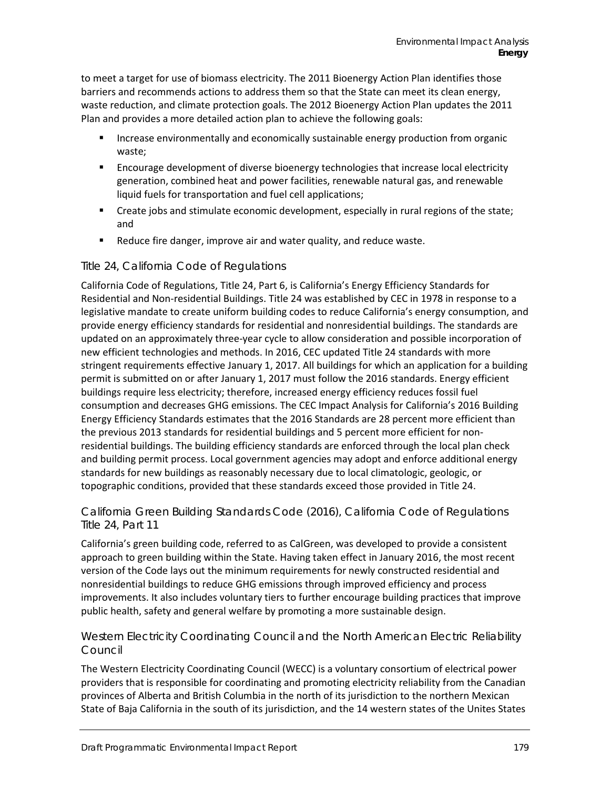to meet a target for use of biomass electricity. The 2011 Bioenergy Action Plan identifies those barriers and recommends actions to address them so that the State can meet its clean energy, waste reduction, and climate protection goals. The 2012 Bioenergy Action Plan updates the 2011 Plan and provides a more detailed action plan to achieve the following goals:

- Increase environmentally and economically sustainable energy production from organic waste;
- Encourage development of diverse bioenergy technologies that increase local electricity generation, combined heat and power facilities, renewable natural gas, and renewable liquid fuels for transportation and fuel cell applications;
- Create jobs and stimulate economic development, especially in rural regions of the state; and
- **EXE** Reduce fire danger, improve air and water quality, and reduce waste.

#### *Title 24, California Code of Regulations*

California Code of Regulations, Title 24, Part 6, is California's Energy Efficiency Standards for Residential and Non-residential Buildings. Title 24 was established by CEC in 1978 in response to a legislative mandate to create uniform building codes to reduce California's energy consumption, and provide energy efficiency standards for residential and nonresidential buildings. The standards are updated on an approximately three-year cycle to allow consideration and possible incorporation of new efficient technologies and methods. In 2016, CEC updated Title 24 standards with more stringent requirements effective January 1, 2017. All buildings for which an application for a building permit is submitted on or after January 1, 2017 must follow the 2016 standards. Energy efficient buildings require less electricity; therefore, increased energy efficiency reduces fossil fuel consumption and decreases GHG emissions. The CEC Impact Analysis for California's 2016 Building Energy Efficiency Standards estimates that the 2016 Standards are 28 percent more efficient than the previous 2013 standards for residential buildings and 5 percent more efficient for nonresidential buildings. The building efficiency standards are enforced through the local plan check and building permit process. Local government agencies may adopt and enforce additional energy standards for new buildings as reasonably necessary due to local climatologic, geologic, or topographic conditions, provided that these standards exceed those provided in Title 24.

#### *California Green Building Standards Code (2016), California Code of Regulations Title 24, Part 11*

California's green building code, referred to as CalGreen, was developed to provide a consistent approach to green building within the State. Having taken effect in January 2016, the most recent version of the Code lays out the minimum requirements for newly constructed residential and nonresidential buildings to reduce GHG emissions through improved efficiency and process improvements. It also includes voluntary tiers to further encourage building practices that improve public health, safety and general welfare by promoting a more sustainable design.

#### *Western Electricity Coordinating Council and the North American Electric Reliability Council*

The Western Electricity Coordinating Council (WECC) is a voluntary consortium of electrical power providers that is responsible for coordinating and promoting electricity reliability from the Canadian provinces of Alberta and British Columbia in the north of its jurisdiction to the northern Mexican State of Baja California in the south of its jurisdiction, and the 14 western states of the Unites States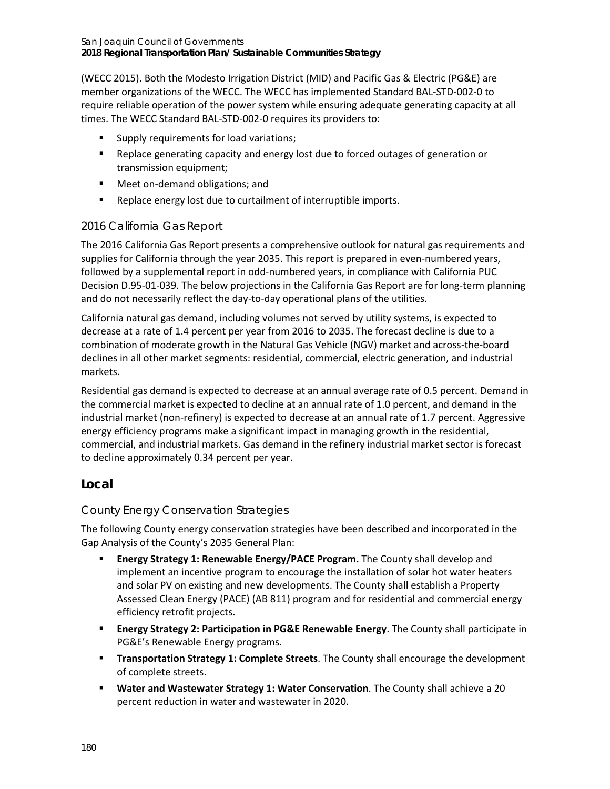(WECC 2015). Both the Modesto Irrigation District (MID) and Pacific Gas & Electric (PG&E) are member organizations of the WECC. The WECC has implemented Standard BAL-STD-002-0 to require reliable operation of the power system while ensuring adequate generating capacity at all times. The WECC Standard BAL-STD-002-0 requires its providers to:

- **Supply requirements for load variations;**
- Replace generating capacity and energy lost due to forced outages of generation or transmission equipment;
- Meet on-demand obligations; and
- **Replace energy lost due to curtailment of interruptible imports.**

#### *2016 California Gas Report*

The 2016 California Gas Report presents a comprehensive outlook for natural gas requirements and supplies for California through the year 2035. This report is prepared in even-numbered years, followed by a supplemental report in odd-numbered years, in compliance with California PUC Decision D.95-01-039. The below projections in the California Gas Report are for long-term planning and do not necessarily reflect the day-to-day operational plans of the utilities.

California natural gas demand, including volumes not served by utility systems, is expected to decrease at a rate of 1.4 percent per year from 2016 to 2035. The forecast decline is due to a combination of moderate growth in the Natural Gas Vehicle (NGV) market and across-the-board declines in all other market segments: residential, commercial, electric generation, and industrial markets.

Residential gas demand is expected to decrease at an annual average rate of 0.5 percent. Demand in the commercial market is expected to decline at an annual rate of 1.0 percent, and demand in the industrial market (non-refinery) is expected to decrease at an annual rate of 1.7 percent. Aggressive energy efficiency programs make a significant impact in managing growth in the residential, commercial, and industrial markets. Gas demand in the refinery industrial market sector is forecast to decline approximately 0.34 percent per year.

## **Local**

## *County Energy Conservation Strategies*

The following County energy conservation strategies have been described and incorporated in the Gap Analysis of the County's 2035 General Plan:

- **Energy Strategy 1: Renewable Energy/PACE Program.** The County shall develop and implement an incentive program to encourage the installation of solar hot water heaters and solar PV on existing and new developments. The County shall establish a Property Assessed Clean Energy (PACE) (AB 811) program and for residential and commercial energy efficiency retrofit projects.
- **Energy Strategy 2: Participation in PG&E Renewable Energy**. The County shall participate in PG&E's Renewable Energy programs.
- **Transportation Strategy 1: Complete Streets**. The County shall encourage the development of complete streets.
- **Water and Wastewater Strategy 1: Water Conservation**. The County shall achieve a 20 percent reduction in water and wastewater in 2020.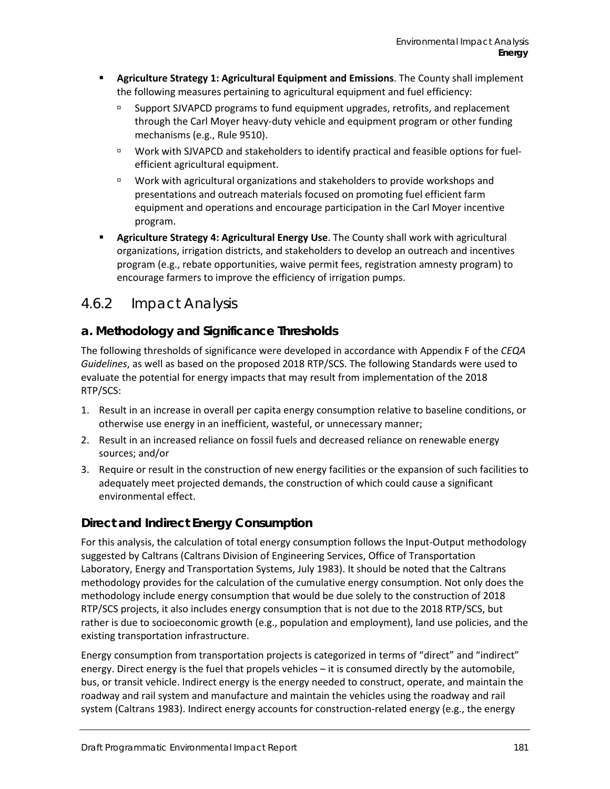- **Agriculture Strategy 1: Agricultural Equipment and Emissions**. The County shall implement the following measures pertaining to agricultural equipment and fuel efficiency:
	- Support SJVAPCD programs to fund equipment upgrades, retrofits, and replacement through the Carl Moyer heavy-duty vehicle and equipment program or other funding mechanisms (e.g., Rule 9510).
	- □ Work with SJVAPCD and stakeholders to identify practical and feasible options for fuelefficient agricultural equipment.
	- Work with agricultural organizations and stakeholders to provide workshops and presentations and outreach materials focused on promoting fuel efficient farm equipment and operations and encourage participation in the Carl Moyer incentive program.
- **Agriculture Strategy 4: Agricultural Energy Use**. The County shall work with agricultural organizations, irrigation districts, and stakeholders to develop an outreach and incentives program (e.g., rebate opportunities, waive permit fees, registration amnesty program) to encourage farmers to improve the efficiency of irrigation pumps.

# 4.6.2 Impact Analysis

# **a. Methodology and Significance Thresholds**

The following thresholds of significance were developed in accordance with Appendix F of the *CEQA Guidelines*, as well as based on the proposed 2018 RTP/SCS. The following Standards were used to evaluate the potential for energy impacts that may result from implementation of the 2018 RTP/SCS:

- 1. Result in an increase in overall per capita energy consumption relative to baseline conditions, or otherwise use energy in an inefficient, wasteful, or unnecessary manner;
- 2. Result in an increased reliance on fossil fuels and decreased reliance on renewable energy sources; and/or
- 3. Require or result in the construction of new energy facilities or the expansion of such facilities to adequately meet projected demands, the construction of which could cause a significant environmental effect.

# **Direct and Indirect Energy Consumption**

For this analysis, the calculation of total energy consumption follows the Input-Output methodology suggested by Caltrans (Caltrans Division of Engineering Services, Office of Transportation Laboratory, Energy and Transportation Systems, July 1983). It should be noted that the Caltrans methodology provides for the calculation of the cumulative energy consumption. Not only does the methodology include energy consumption that would be due solely to the construction of 2018 RTP/SCS projects, it also includes energy consumption that is not due to the 2018 RTP/SCS, but rather is due to socioeconomic growth (e.g., population and employment), land use policies, and the existing transportation infrastructure.

Energy consumption from transportation projects is categorized in terms of "direct" and "indirect" energy. Direct energy is the fuel that propels vehicles – it is consumed directly by the automobile, bus, or transit vehicle. Indirect energy is the energy needed to construct, operate, and maintain the roadway and rail system and manufacture and maintain the vehicles using the roadway and rail system (Caltrans 1983). Indirect energy accounts for construction-related energy (e.g., the energy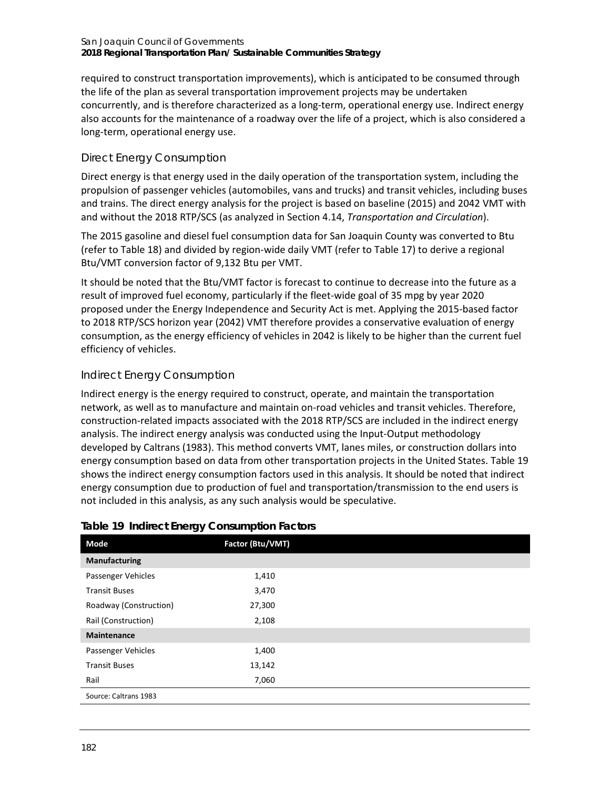#### San Joaquin Council of Governments **2018 Regional Transportation Plan/ Sustainable Communities Strategy**

required to construct transportation improvements), which is anticipated to be consumed through the life of the plan as several transportation improvement projects may be undertaken concurrently, and is therefore characterized as a long-term, operational energy use. Indirect energy also accounts for the maintenance of a roadway over the life of a project, which is also considered a long-term, operational energy use.

## *Direct Energy Consumption*

Direct energy is that energy used in the daily operation of the transportation system, including the propulsion of passenger vehicles (automobiles, vans and trucks) and transit vehicles, including buses and trains. The direct energy analysis for the project is based on baseline (2015) and 2042 VMT with and without the 2018 RTP/SCS (as analyzed in Section 4.14, *Transportation and Circulation*).

The 2015 gasoline and diesel fuel consumption data for San Joaquin County was converted to Btu (refer to [Table 18\)](#page-3-1) and divided by region-wide daily VMT (refer to [Table 17\)](#page-3-0) to derive a regional Btu/VMT conversion factor of 9,132 Btu per VMT.

It should be noted that the Btu/VMT factor is forecast to continue to decrease into the future as a result of improved fuel economy, particularly if the fleet-wide goal of 35 mpg by year 2020 proposed under the Energy Independence and Security Act is met. Applying the 2015-based factor to 2018 RTP/SCS horizon year (2042) VMT therefore provides a conservative evaluation of energy consumption, as the energy efficiency of vehicles in 2042 is likely to be higher than the current fuel efficiency of vehicles.

## *Indirect Energy Consumption*

Indirect energy is the energy required to construct, operate, and maintain the transportation network, as well as to manufacture and maintain on-road vehicles and transit vehicles. Therefore, construction-related impacts associated with the 2018 RTP/SCS are included in the indirect energy analysis. The indirect energy analysis was conducted using the Input-Output methodology developed by Caltrans (1983). This method converts VMT, lanes miles, or construction dollars into energy consumption based on data from other transportation projects in the United States[. Table 19](#page-11-0) shows the indirect energy consumption factors used in this analysis. It should be noted that indirect energy consumption due to production of fuel and transportation/transmission to the end users is not included in this analysis, as any such analysis would be speculative.

| Mode                   | Factor (Btu/VMT) |  |
|------------------------|------------------|--|
| <b>Manufacturing</b>   |                  |  |
| Passenger Vehicles     | 1,410            |  |
| <b>Transit Buses</b>   | 3,470            |  |
| Roadway (Construction) | 27,300           |  |
| Rail (Construction)    | 2,108            |  |
| <b>Maintenance</b>     |                  |  |
| Passenger Vehicles     | 1,400            |  |
| <b>Transit Buses</b>   | 13,142           |  |
| Rail                   | 7,060            |  |
| Source: Caltrans 1983  |                  |  |
|                        |                  |  |

## <span id="page-11-0"></span>**Table 19 Indirect Energy Consumption Factors**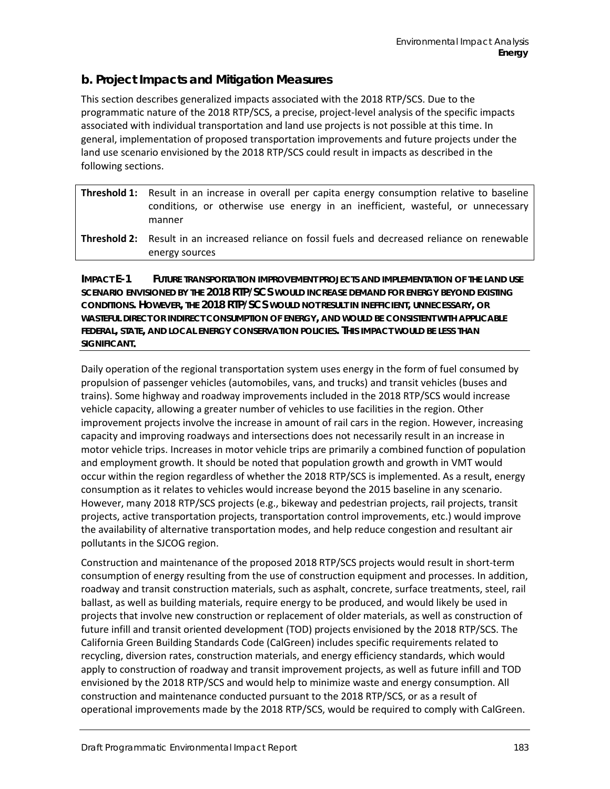## **b. Project Impacts and Mitigation Measures**

This section describes generalized impacts associated with the 2018 RTP/SCS. Due to the programmatic nature of the 2018 RTP/SCS, a precise, project-level analysis of the specific impacts associated with individual transportation and land use projects is not possible at this time. In general, implementation of proposed transportation improvements and future projects under the land use scenario envisioned by the 2018 RTP/SCS could result in impacts as described in the following sections.

| <b>Threshold 1:</b> Result in an increase in overall per capita energy consumption relative to baseline<br>conditions, or otherwise use energy in an inefficient, wasteful, or unnecessary<br>manner |
|------------------------------------------------------------------------------------------------------------------------------------------------------------------------------------------------------|
| <b>Threshold 2:</b> Result in an increased reliance on fossil fuels and decreased reliance on renewable<br>energy sources                                                                            |

**IMPACT E-1 FUTURE TRANSPORTATION IMPROVEMENT PROJECTS AND IMPLEMENTATION OF THE LAND USE SCENARIO ENVISIONED BY THE 2018 RTP/SCS WOULD INCREASE DEMAND FOR ENERGY BEYOND EXISTING CONDITIONS. HOWEVER, THE 2018 RTP/SCS WOULD NOT RESULT IN INEFFICIENT, UNNECESSARY, OR WASTEFUL DIRECT OR INDIRECT CONSUMPTION OF ENERGY, AND WOULD BE CONSISTENT WITH APPLICABLE FEDERAL, STATE, AND LOCAL ENERGY CONSERVATION POLICIES. THIS IMPACT WOULD BE LESS THAN SIGNIFICANT.**

Daily operation of the regional transportation system uses energy in the form of fuel consumed by propulsion of passenger vehicles (automobiles, vans, and trucks) and transit vehicles (buses and trains). Some highway and roadway improvements included in the 2018 RTP/SCS would increase vehicle capacity, allowing a greater number of vehicles to use facilities in the region. Other improvement projects involve the increase in amount of rail cars in the region. However, increasing capacity and improving roadways and intersections does not necessarily result in an increase in motor vehicle trips. Increases in motor vehicle trips are primarily a combined function of population and employment growth. It should be noted that population growth and growth in VMT would occur within the region regardless of whether the 2018 RTP/SCS is implemented. As a result, energy consumption as it relates to vehicles would increase beyond the 2015 baseline in any scenario. However, many 2018 RTP/SCS projects (e.g., bikeway and pedestrian projects, rail projects, transit projects, active transportation projects, transportation control improvements, etc.) would improve the availability of alternative transportation modes, and help reduce congestion and resultant air pollutants in the SJCOG region.

Construction and maintenance of the proposed 2018 RTP/SCS projects would result in short-term consumption of energy resulting from the use of construction equipment and processes. In addition, roadway and transit construction materials, such as asphalt, concrete, surface treatments, steel, rail ballast, as well as building materials, require energy to be produced, and would likely be used in projects that involve new construction or replacement of older materials, as well as construction of future infill and transit oriented development (TOD) projects envisioned by the 2018 RTP/SCS. The California Green Building Standards Code (CalGreen) includes specific requirements related to recycling, diversion rates, construction materials, and energy efficiency standards, which would apply to construction of roadway and transit improvement projects, as well as future infill and TOD envisioned by the 2018 RTP/SCS and would help to minimize waste and energy consumption. All construction and maintenance conducted pursuant to the 2018 RTP/SCS, or as a result of operational improvements made by the 2018 RTP/SCS, would be required to comply with CalGreen[.](#page-13-0)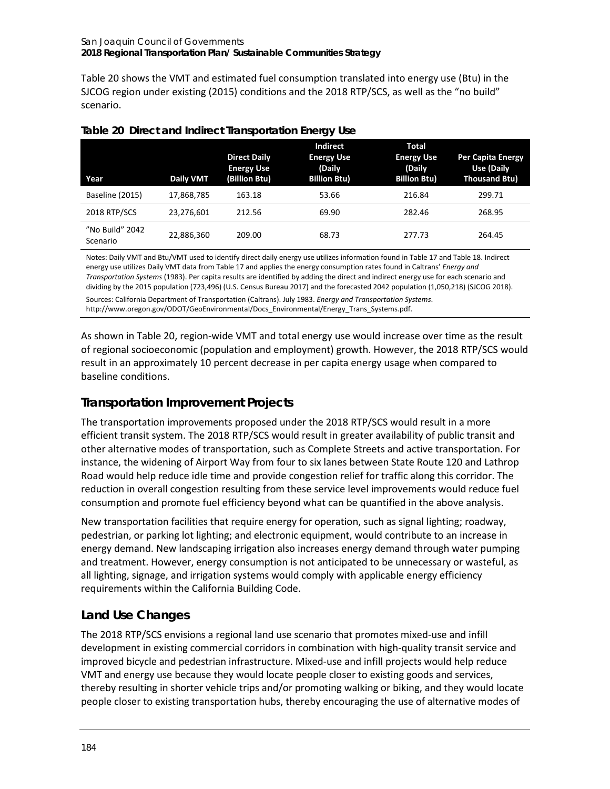<span id="page-13-0"></span>[Table 20](#page-13-0) shows the VMT and estimated fuel consumption translated into energy use (Btu) in the SJCOG region under existing (2015) conditions and the 2018 RTP/SCS, as well as the "no build" scenario.

| Year                        | <b>Daily VMT</b> | <b>Direct Daily</b><br><b>Energy Use</b><br>(Billion Btu) | <b>Indirect</b><br><b>Energy Use</b><br>(Daily<br><b>Billion Btu)</b> | <b>Total</b><br><b>Energy Use</b><br>(Daily<br><b>Billion Btu)</b> | <b>Per Capita Energy</b><br>Use (Daily<br><b>Thousand Btu)</b> |
|-----------------------------|------------------|-----------------------------------------------------------|-----------------------------------------------------------------------|--------------------------------------------------------------------|----------------------------------------------------------------|
| Baseline (2015)             | 17,868,785       | 163.18                                                    | 53.66                                                                 | 216.84                                                             | 299.71                                                         |
| 2018 RTP/SCS                | 23.276.601       | 212.56                                                    | 69.90                                                                 | 282.46                                                             | 268.95                                                         |
| "No Build" 2042<br>Scenario | 22,886,360       | 209.00                                                    | 68.73                                                                 | 277.73                                                             | 264.45                                                         |

#### <span id="page-13-1"></span>**Table 20 Direct and Indirect Transportation Energy Use**

Notes: Daily VMT and Btu/VMT used to identify direct daily energy use utilizes information found i[n Table 17](#page-3-0) an[d Table 18.](#page-3-1) Indirect energy use utilizes Daily VMT data fro[m Table 17](#page-3-0) and applies the energy consumption rates found in Caltrans' *Energy and Transportation Systems* (1983). Per capita results are identified by adding the direct and indirect energy use for each scenario and dividing by the 2015 population (723,496) (U.S. Census Bureau 2017) and the forecasted 2042 population (1,050,218) (SJCOG 2018).

Sources: California Department of Transportation (Caltrans). July 1983. *Energy and Transportation Systems*. http://www.oregon.gov/ODOT/GeoEnvironmental/Docs\_Environmental/Energy\_Trans\_Systems.pdf.

As shown in [Table 20,](#page-13-1) region-wide VMT and total energy use would increase over time as the result of regional socioeconomic (population and employment) growth. However, the 2018 RTP/SCS would result in an approximately 10 percent decrease in per capita energy usage when compared to baseline conditions.

# **Transportation Improvement Projects**

The transportation improvements proposed under the 2018 RTP/SCS would result in a more efficient transit system. The 2018 RTP/SCS would result in greater availability of public transit and other alternative modes of transportation, such as Complete Streets and active transportation. For instance, the widening of Airport Way from four to six lanes between State Route 120 and Lathrop Road would help reduce idle time and provide congestion relief for traffic along this corridor. The reduction in overall congestion resulting from these service level improvements would reduce fuel consumption and promote fuel efficiency beyond what can be quantified in the above analysis.

New transportation facilities that require energy for operation, such as signal lighting; roadway, pedestrian, or parking lot lighting; and electronic equipment, would contribute to an increase in energy demand. New landscaping irrigation also increases energy demand through water pumping and treatment. However, energy consumption is not anticipated to be unnecessary or wasteful, as all lighting, signage, and irrigation systems would comply with applicable energy efficiency requirements within the California Building Code.

# **Land Use Changes**

The 2018 RTP/SCS envisions a regional land use scenario that promotes mixed-use and infill development in existing commercial corridors in combination with high-quality transit service and improved bicycle and pedestrian infrastructure. Mixed-use and infill projects would help reduce VMT and energy use because they would locate people closer to existing goods and services, thereby resulting in shorter vehicle trips and/or promoting walking or biking, and they would locate people closer to existing transportation hubs, thereby encouraging the use of alternative modes of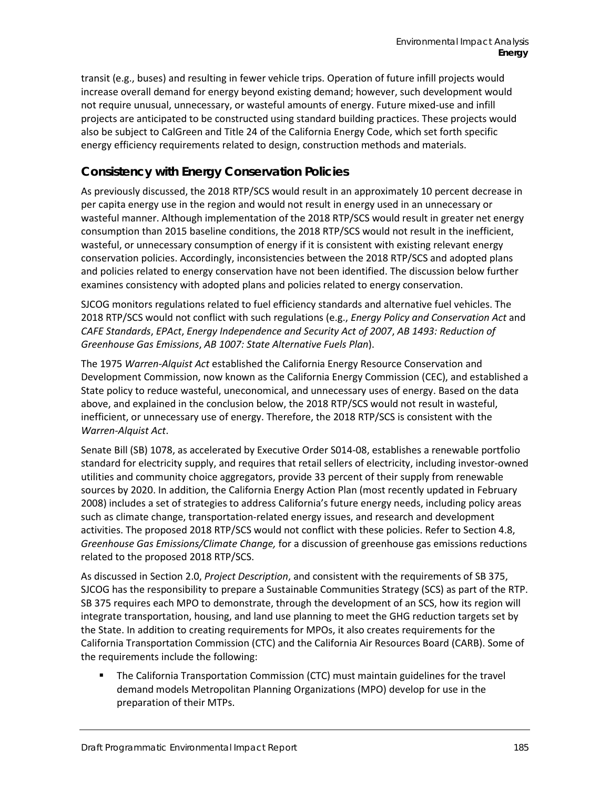transit (e.g., buses) and resulting in fewer vehicle trips. Operation of future infill projects would increase overall demand for energy beyond existing demand; however, such development would not require unusual, unnecessary, or wasteful amounts of energy. Future mixed-use and infill projects are anticipated to be constructed using standard building practices. These projects would also be subject to CalGreen and Title 24 of the California Energy Code, which set forth specific energy efficiency requirements related to design, construction methods and materials.

# **Consistency with Energy Conservation Policies**

As previously discussed, the 2018 RTP/SCS would result in an approximately 10 percent decrease in per capita energy use in the region and would not result in energy used in an unnecessary or wasteful manner. Although implementation of the 2018 RTP/SCS would result in greater net energy consumption than 2015 baseline conditions, the 2018 RTP/SCS would not result in the inefficient, wasteful, or unnecessary consumption of energy if it is consistent with existing relevant energy conservation policies. Accordingly, inconsistencies between the 2018 RTP/SCS and adopted plans and policies related to energy conservation have not been identified. The discussion below further examines consistency with adopted plans and policies related to energy conservation.

SJCOG monitors regulations related to fuel efficiency standards and alternative fuel vehicles. The 2018 RTP/SCS would not conflict with such regulations (e.g., *Energy Policy and Conservation Act* and *CAFE Standards*, *EPAct*, *Energy Independence and Security Act of 2007*, *AB 1493: Reduction of Greenhouse Gas Emissions*, *AB 1007: State Alternative Fuels Plan*).

The 1975 *Warren-Alquist Act* established the California Energy Resource Conservation and Development Commission, now known as the California Energy Commission (CEC), and established a State policy to reduce wasteful, uneconomical, and unnecessary uses of energy. Based on the data above, and explained in the conclusion below, the 2018 RTP/SCS would not result in wasteful, inefficient, or unnecessary use of energy. Therefore, the 2018 RTP/SCS is consistent with the *Warren-Alquist Act*.

Senate Bill (SB) 1078, as accelerated by Executive Order S014-08, establishes a renewable portfolio standard for electricity supply, and requires that retail sellers of electricity, including investor-owned utilities and community choice aggregators, provide 33 percent of their supply from renewable sources by 2020. In addition, the California Energy Action Plan (most recently updated in February 2008) includes a set of strategies to address California's future energy needs, including policy areas such as climate change, transportation-related energy issues, and research and development activities. The proposed 2018 RTP/SCS would not conflict with these policies. Refer to Section 4.8, *Greenhouse Gas Emissions/Climate Change,* for a discussion of greenhouse gas emissions reductions related to the proposed 2018 RTP/SCS.

As discussed in Section 2.0, *Project Description*, and consistent with the requirements of SB 375, SJCOG has the responsibility to prepare a Sustainable Communities Strategy (SCS) as part of the RTP. SB 375 requires each MPO to demonstrate, through the development of an SCS, how its region will integrate transportation, housing, and land use planning to meet the GHG reduction targets set by the State. In addition to creating requirements for MPOs, it also creates requirements for the California Transportation Commission (CTC) and the California Air Resources Board (CARB). Some of the requirements include the following:

 The California Transportation Commission (CTC) must maintain guidelines for the travel demand models Metropolitan Planning Organizations (MPO) develop for use in the preparation of their MTPs.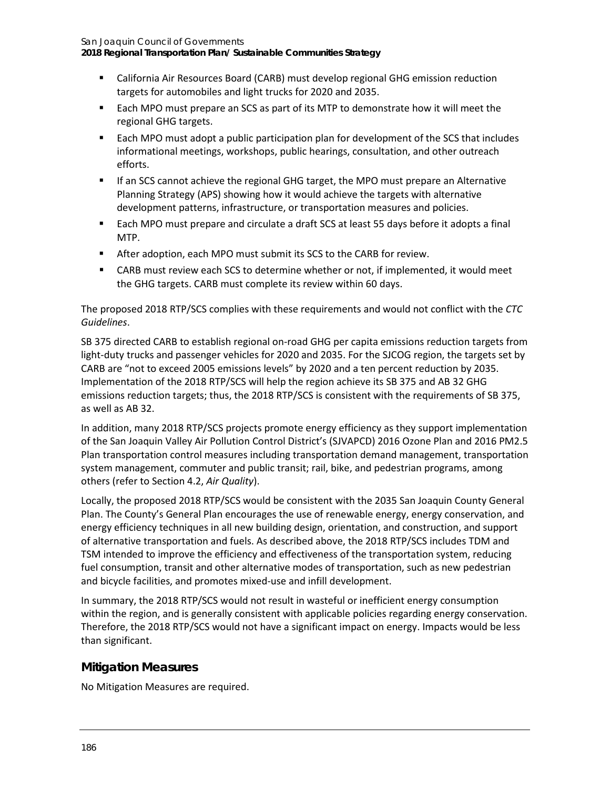**2018 Regional Transportation Plan/ Sustainable Communities Strategy**

- California Air Resources Board (CARB) must develop regional GHG emission reduction targets for automobiles and light trucks for 2020 and 2035.
- **Each MPO must prepare an SCS as part of its MTP to demonstrate how it will meet the** regional GHG targets.
- Each MPO must adopt a public participation plan for development of the SCS that includes informational meetings, workshops, public hearings, consultation, and other outreach efforts.
- **IF an SCS cannot achieve the regional GHG target, the MPO must prepare an Alternative** Planning Strategy (APS) showing how it would achieve the targets with alternative development patterns, infrastructure, or transportation measures and policies.
- **Each MPO must prepare and circulate a draft SCS at least 55 days before it adopts a final** MTP.
- After adoption, each MPO must submit its SCS to the CARB for review.
- CARB must review each SCS to determine whether or not, if implemented, it would meet the GHG targets. CARB must complete its review within 60 days.

The proposed 2018 RTP/SCS complies with these requirements and would not conflict with the *CTC Guidelines*.

SB 375 directed CARB to establish regional on-road GHG per capita emissions reduction targets from light-duty trucks and passenger vehicles for 2020 and 2035. For the SJCOG region, the targets set by CARB are "not to exceed 2005 emissions levels" by 2020 and a ten percent reduction by 2035. Implementation of the 2018 RTP/SCS will help the region achieve its SB 375 and AB 32 GHG emissions reduction targets; thus, the 2018 RTP/SCS is consistent with the requirements of SB 375, as well as AB 32.

In addition, many 2018 RTP/SCS projects promote energy efficiency as they support implementation of the San Joaquin Valley Air Pollution Control District's (SJVAPCD) 2016 Ozone Plan and 2016 PM2.5 Plan transportation control measures including transportation demand management, transportation system management, commuter and public transit; rail, bike, and pedestrian programs, among others (refer to Section 4.2, *Air Quality*).

Locally, the proposed 2018 RTP/SCS would be consistent with the 2035 San Joaquin County General Plan. The County's General Plan encourages the use of renewable energy, energy conservation, and energy efficiency techniques in all new building design, orientation, and construction, and support of alternative transportation and fuels. As described above, the 2018 RTP/SCS includes TDM and TSM intended to improve the efficiency and effectiveness of the transportation system, reducing fuel consumption, transit and other alternative modes of transportation, such as new pedestrian and bicycle facilities, and promotes mixed-use and infill development.

In summary, the 2018 RTP/SCS would not result in wasteful or inefficient energy consumption within the region, and is generally consistent with applicable policies regarding energy conservation. Therefore, the 2018 RTP/SCS would not have a significant impact on energy. Impacts would be less than significant.

## **Mitigation Measures**

No Mitigation Measures are required.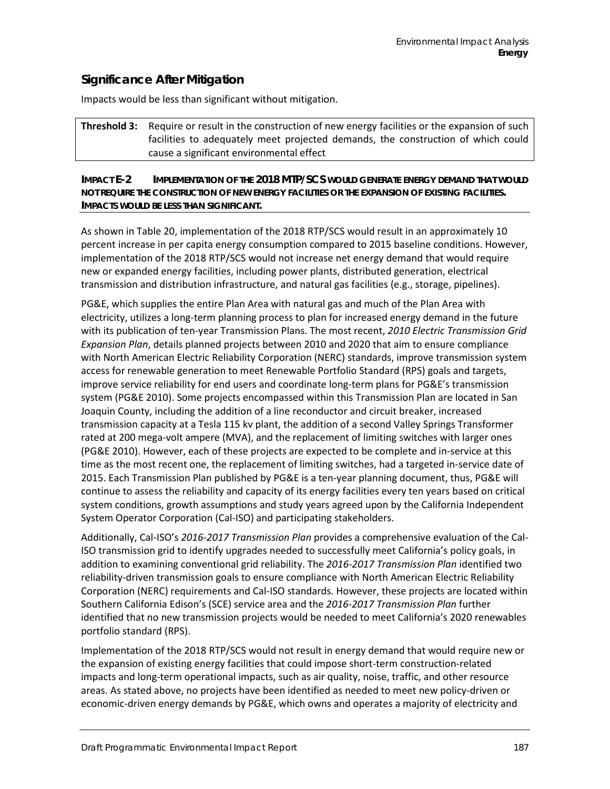# **Significance After Mitigation**

Impacts would be less than significant without mitigation.

#### **Threshold 3:** Require or result in the construction of new energy facilities or the expansion of such facilities to adequately meet projected demands, the construction of which could cause a significant environmental effect

#### **IMPACT E-2 IMPLEMENTATION OF THE 2018 MTP/SCS WOULD GENERATE ENERGY DEMAND THAT WOULD NOT REQUIRE THE CONSTRUCTION OF NEW ENERGY FACILITIES OR THE EXPANSION OF EXISTING FACILITIES. IMPACTS WOULD BE LESS THAN SIGNIFICANT.**

As shown in [Table 20,](#page-13-1) implementation of the 2018 RTP/SCS would result in an approximately 10 percent increase in per capita energy consumption compared to 2015 baseline conditions. However, implementation of the 2018 RTP/SCS would not increase net energy demand that would require new or expanded energy facilities, including power plants, distributed generation, electrical transmission and distribution infrastructure, and natural gas facilities (e.g., storage, pipelines).

PG&E, which supplies the entire Plan Area with natural gas and much of the Plan Area with electricity, utilizes a long-term planning process to plan for increased energy demand in the future with its publication of ten-year Transmission Plans. The most recent, *2010 Electric Transmission Grid Expansion Plan*, details planned projects between 2010 and 2020 that aim to ensure compliance with North American Electric Reliability Corporation (NERC) standards, improve transmission system access for renewable generation to meet Renewable Portfolio Standard (RPS) goals and targets, improve service reliability for end users and coordinate long-term plans for PG&E's transmission system (PG&E 2010). Some projects encompassed within this Transmission Plan are located in San Joaquin County, including the addition of a line reconductor and circuit breaker, increased transmission capacity at a Tesla 115 kv plant, the addition of a second Valley Springs Transformer rated at 200 mega-volt ampere (MVA), and the replacement of limiting switches with larger ones (PG&E 2010). However, each of these projects are expected to be complete and in-service at this time as the most recent one, the replacement of limiting switches, had a targeted in-service date of 2015. Each Transmission Plan published by PG&E is a ten-year planning document, thus, PG&E will continue to assess the reliability and capacity of its energy facilities every ten years based on critical system conditions, growth assumptions and study years agreed upon by the California Independent System Operator Corporation (Cal-ISO) and participating stakeholders.

Additionally, Cal-ISO's *2016-2017 Transmission Plan* provides a comprehensive evaluation of the Cal-ISO transmission grid to identify upgrades needed to successfully meet California's policy goals, in addition to examining conventional grid reliability. The *2016-2017 Transmission Plan* identified two reliability-driven transmission goals to ensure compliance with North American Electric Reliability Corporation (NERC) requirements and Cal-ISO standards. However, these projects are located within Southern California Edison's (SCE) service area and the *2016-2017 Transmission Plan* further identified that no new transmission projects would be needed to meet California's 2020 renewables portfolio standard (RPS).

Implementation of the 2018 RTP/SCS would not result in energy demand that would require new or the expansion of existing energy facilities that could impose short-term construction-related impacts and long-term operational impacts, such as air quality, noise, traffic, and other resource areas. As stated above, no projects have been identified as needed to meet new policy-driven or economic-driven energy demands by PG&E, which owns and operates a majority of electricity and